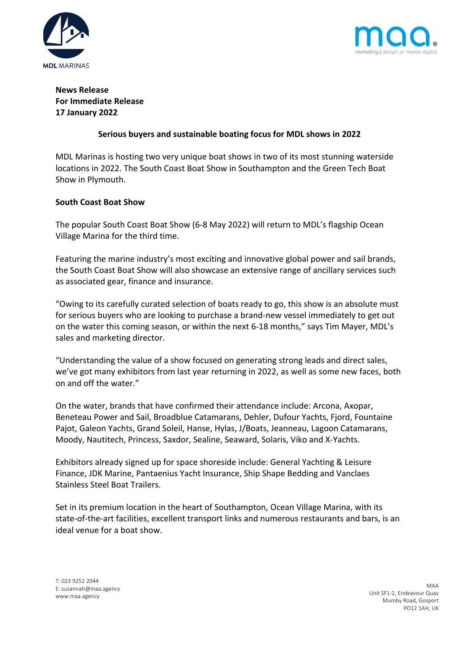



# **News Release For Immediate Release 17 January 2022**

## **Serious buyers and sustainable boating focus for MDL shows in 2022**

MDL Marinas is hosting two very unique boat shows in two of its most stunning waterside locations in 2022. The South Coast Boat Show in Southampton and the Green Tech Boat Show in Plymouth.

## **South Coast Boat Show**

The popular South Coast Boat Show (6-8 May 2022) will return to MDL's flagship Ocean Village Marina for the third time.

Featuring the marine industry's most exciting and innovative global power and sail brands, the South Coast Boat Show will also showcase an extensive range of ancillary services such as associated gear, finance and insurance.

"Owing to its carefully curated selection of boats ready to go, this show is an absolute must for serious buyers who are looking to purchase a brand-new vessel immediately to get out on the water this coming season, or within the next 6-18 months," says Tim Mayer, MDL's sales and marketing director.

"Understanding the value of a show focused on generating strong leads and direct sales, we've got many exhibitors from last year returning in 2022, as well as some new faces, both on and off the water."

On the water, brands that have confirmed their attendance include: Arcona, Axopar, Beneteau Power and Sail, Broadblue Catamarans, Dehler, Dufour Yachts, Fjord, Fountaine Pajot, Galeon Yachts, Grand Soleil, Hanse, Hylas, J/Boats, Jeanneau, Lagoon Catamarans, Moody, Nautitech, Princess, Saxdor, Sealine, Seaward, Solaris, Viko and X-Yachts.

Exhibitors already signed up for space shoreside include: General Yachting & Leisure Finance, JDK Marine, Pantaenius Yacht Insurance, Ship Shape Bedding and Vanclaes Stainless Steel Boat Trailers.

Set in its premium location in the heart of Southampton, Ocean Village Marina, with its state-of-the-art facilities, excellent transport links and numerous restaurants and bars, is an ideal venue for a boat show.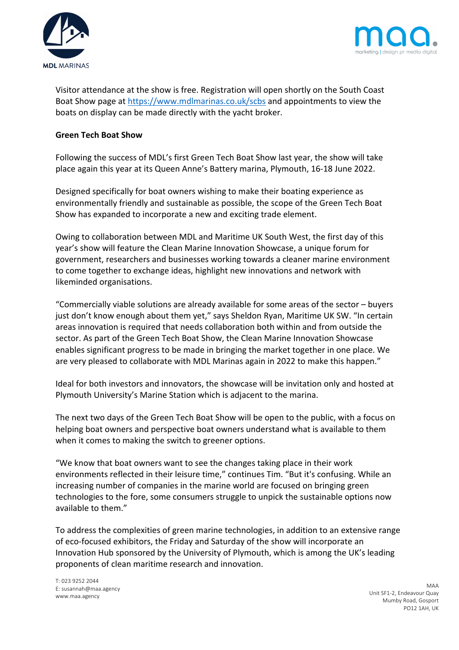



Visitor attendance at the show is free. Registration will open shortly on the South Coast Boat Show page at https://www.mdlmarinas.co.uk/scbs and appointments to view the boats on display can be made directly with the yacht broker.

## **Green Tech Boat Show**

Following the success of MDL's first Green Tech Boat Show last year, the show will take place again this year at its Queen Anne's Battery marina, Plymouth, 16-18 June 2022.

Designed specifically for boat owners wishing to make their boating experience as environmentally friendly and sustainable as possible, the scope of the Green Tech Boat Show has expanded to incorporate a new and exciting trade element.

Owing to collaboration between MDL and Maritime UK South West, the first day of this year's show will feature the Clean Marine Innovation Showcase, a unique forum for government, researchers and businesses working towards a cleaner marine environment to come together to exchange ideas, highlight new innovations and network with likeminded organisations.

"Commercially viable solutions are already available for some areas of the sector – buyers just don't know enough about them yet," says Sheldon Ryan, Maritime UK SW. "In certain areas innovation is required that needs collaboration both within and from outside the sector. As part of the Green Tech Boat Show, the Clean Marine Innovation Showcase enables significant progress to be made in bringing the market together in one place. We are very pleased to collaborate with MDL Marinas again in 2022 to make this happen."

Ideal for both investors and innovators, the showcase will be invitation only and hosted at Plymouth University's Marine Station which is adjacent to the marina.

The next two days of the Green Tech Boat Show will be open to the public, with a focus on helping boat owners and perspective boat owners understand what is available to them when it comes to making the switch to greener options.

"We know that boat owners want to see the changes taking place in their work environments reflected in their leisure time," continues Tim. "But it's confusing. While an increasing number of companies in the marine world are focused on bringing green technologies to the fore, some consumers struggle to unpick the sustainable options now available to them."

To address the complexities of green marine technologies, in addition to an extensive range of eco-focused exhibitors, the Friday and Saturday of the show will incorporate an Innovation Hub sponsored by the University of Plymouth, which is among the UK's leading proponents of clean maritime research and innovation.

T: 023 9252 2044 E: susannah@maa.agency www.maa.agency

MAA Unit SF1-2, Endeavour Quay Mumby Road, Gosport PO12 1AH, UK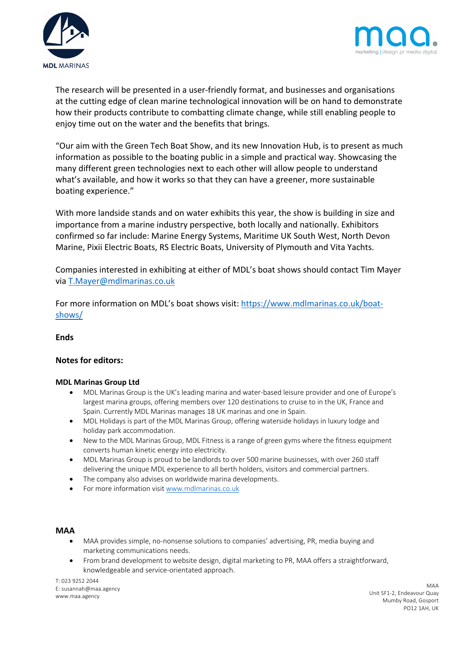



The research will be presented in a user-friendly format, and businesses and organisations at the cutting edge of clean marine technological innovation will be on hand to demonstrate how their products contribute to combatting climate change, while still enabling people to enjoy time out on the water and the benefits that brings.

"Our aim with the Green Tech Boat Show, and its new Innovation Hub, is to present as much information as possible to the boating public in a simple and practical way. Showcasing the many different green technologies next to each other will allow people to understand what's available, and how it works so that they can have a greener, more sustainable boating experience."

With more landside stands and on water exhibits this year, the show is building in size and importance from a marine industry perspective, both locally and nationally. Exhibitors confirmed so far include: Marine Energy Systems, Maritime UK South West, North Devon Marine, Pixii Electric Boats, RS Electric Boats, University of Plymouth and Vita Yachts.

Companies interested in exhibiting at either of MDL's boat shows should contact Tim Mayer via T.Mayer@mdlmarinas.co.uk

For more information on MDL's boat shows visit: https://www.mdlmarinas.co.uk/boatshows/

### **Ends**

### **Notes for editors:**

### **MDL Marinas Group Ltd**

- MDL Marinas Group is the UK's leading marina and water-based leisure provider and one of Europe's largest marina groups, offering members over 120 destinations to cruise to in the UK, France and Spain. Currently MDL Marinas manages 18 UK marinas and one in Spain.
- MDL Holidays is part of the MDL Marinas Group, offering waterside holidays in luxury lodge and holiday park accommodation.
- New to the MDL Marinas Group, MDL Fitness is a range of green gyms where the fitness equipment converts human kinetic energy into electricity.
- MDL Marinas Group is proud to be landlords to over 500 marine businesses, with over 260 staff delivering the unique MDL experience to all berth holders, visitors and commercial partners.
- The company also advises on worldwide marina developments.
- For more information visit www.mdlmarinas.co.uk

### **MAA**

- MAA provides simple, no-nonsense solutions to companies' advertising, PR, media buying and marketing communications needs.
- From brand development to website design, digital marketing to PR, MAA offers a straightforward, knowledgeable and service-orientated approach.

T: 023 9252 2044 E: susannah@maa.agency www.maa.agency

MAA Unit SF1-2, Endeavour Quay Mumby Road, Gosport PO12 1AH, UK